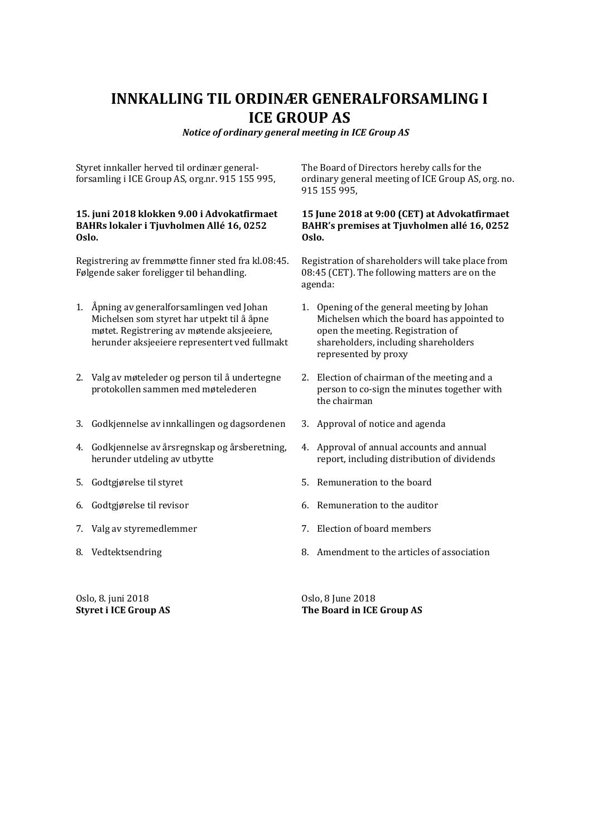# **INNKALLING TIL ORDINÆR GENERALFORSAMLING I ICE GROUP AS**

*Notice of ordinary general meeting in ICE Group AS*

Styret innkaller herved til ordinær generalforsamling i ICE Group AS, org.nr. 915 155 995,

#### **15. juni 2018 klokken 9.00 i Advokatfirmaet BAHRs lokaler i Tjuvholmen Allé 16, 0252 Oslo.**

Registrering av fremmøtte finner sted fra kl.08:45. Følgende saker foreligger til behandling.

- 1. Åpning av generalforsamlingen ved Johan Michelsen som styret har utpekt til å åpne møtet. Registrering av møtende aksjeeiere, herunder aksjeeiere representert ved fullmakt
- 2. Valg av møteleder og person til å undertegne protokollen sammen med møtelederen
- 3. Godkjennelse av innkallingen og dagsordenen
- 4. Godkjennelse av årsregnskap og årsberetning, herunder utdeling av utbytte
- 5. Godtgjørelse til styret
- 6. Godtgjørelse til revisor
- 7. Valg av styremedlemmer
- 8. Vedtektsendring

Oslo, 8. juni 2018 **Styret i ICE Group AS** The Board of Directors hereby calls for the ordinary general meeting of ICE Group AS, org. no. 915 155 995,

#### **15 June 2018 at 9:00 (CET) at Advokatfirmaet BAHR's premises at Tjuvholmen allé 16, 0252 Oslo.**

Registration of shareholders will take place from 08:45 (CET). The following matters are on the agenda:

- 1. Opening of the general meeting by Johan Michelsen which the board has appointed to open the meeting. Registration of shareholders, including shareholders represented by proxy
- 2. Election of chairman of the meeting and a person to co-sign the minutes together with the chairman
- 3. Approval of notice and agenda
- 4. Approval of annual accounts and annual report, including distribution of dividends
- 5. Remuneration to the board
- 6. Remuneration to the auditor
- 7. Election of board members
- 8. Amendment to the articles of association

Oslo, 8 June 2018 **The Board in ICE Group AS**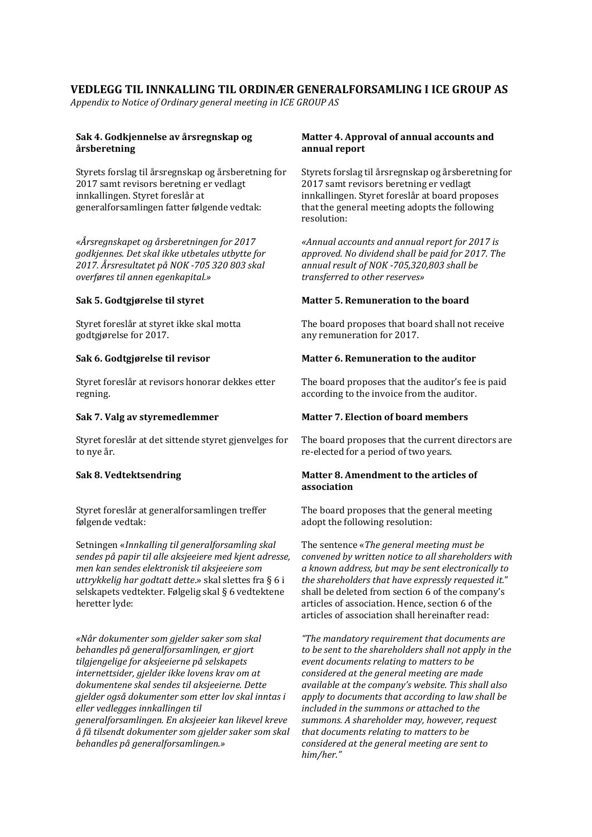### **VEDLEGG TIL INNKALLING TIL ORDINÆR GENERALFORSAMLING I ICE GROUP AS**

*Appendix to Notice of Ordinary general meeting in ICE GROUP AS*

#### **Sak 4. Godkjennelse av årsregnskap og årsberetning**

Styrets forslag til årsregnskap og årsberetning for 2017 samt revisors beretning er vedlagt innkallingen. Styret foreslår at generalforsamlingen fatter følgende vedtak:

*«Årsregnskapet og årsberetningen for 2017 godkjennes. Det skal ikke utbetales utbytte for 2017. Årsresultatet på NOK -705 320 803 skal overføres til annen egenkapital.»*

#### **Sak 5. Godtgjørelse til styret**

Styret foreslår at styret ikke skal motta godtgjørelse for 2017.

#### **Sak 6. Godtgjørelse til revisor**

Styret foreslår at revisors honorar dekkes etter regning.

#### **Sak 7. Valg av styremedlemmer**

Styret foreslår at det sittende styret gjenvelges for to nye år.

#### **Sak 8. Vedtektsendring**

Styret foreslår at generalforsamlingen treffer følgende vedtak:

Setningen «*Innkalling til generalforsamling skal sendes på papir til alle aksjeeiere med kjent adresse, men kan sendes elektronisk til aksjeeiere som uttrykkelig har godtatt dette*.» skal slettes fra § 6 i selskapets vedtekter. Følgelig skal § 6 vedtektene heretter lyde:

*«Når dokumenter som gjelder saker som skal behandles på generalforsamlingen, er gjort tilgjengelige for aksjeeierne på selskapets internettsider, gjelder ikke lovens krav om at dokumentene skal sendes til aksjeeierne. Dette gjelder også dokumenter som etter lov skal inntas i eller vedlegges innkallingen til generalforsamlingen. En aksjeeier kan likevel kreve å få tilsendt dokumenter som gjelder saker som skal behandles på generalforsamlingen.»*

#### **Matter 4. Approval of annual accounts and annual report**

Styrets forslag til årsregnskap og årsberetning for 2017 samt revisors beretning er vedlagt innkallingen. Styret foreslår at board proposes that the general meeting adopts the following resolution:

*«Annual accounts and annual report for 2017 is approved. No dividend shall be paid for 2017. The annual result of NOK -705,320,803 shall be transferred to other reserves»*

#### **Matter 5. Remuneration to the board**

The board proposes that board shall not receive any remuneration for 2017.

### **Matter 6. Remuneration to the auditor**

The board proposes that the auditor's fee is paid according to the invoice from the auditor.

#### **Matter 7. Election of board members**

The board proposes that the current directors are re-elected for a period of two years.

#### **Matter 8. Amendment to the articles of association**

The board proposes that the general meeting adopt the following resolution:

The sentence «*The general meeting must be convened by written notice to all shareholders with a known address, but may be sent electronically to the shareholders that have expressly requested it.*" shall be deleted from section 6 of the company's articles of association. Hence, section 6 of the articles of association shall hereinafter read:

*"The mandatory requirement that documents are to be sent to the shareholders shall not apply in the event documents relating to matters to be considered at the general meeting are made available at the company's website. This shall also apply to documents that according to law shall be included in the summons or attached to the summons. A shareholder may, however, request that documents relating to matters to be considered at the general meeting are sent to him/her."*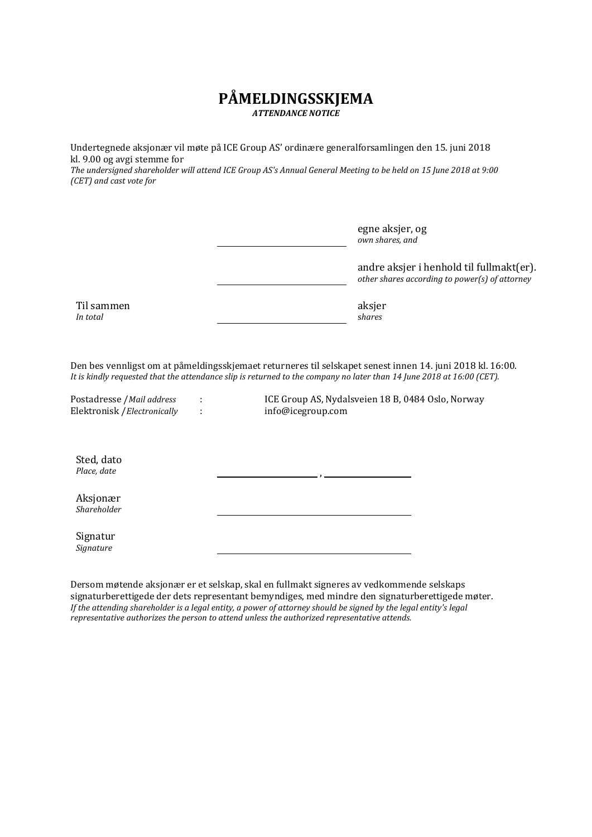# **PÅMELDINGSSKJEMA** *ATTENDANCE NOTICE*

Undertegnede aksjonær vil møte på ICE Group AS' ordinære generalforsamlingen den 15. juni 2018 kl. 9.00 og avgi stemme for

*The undersigned shareholder will attend ICE Group AS's Annual General Meeting to be held on 15 June 2018 at 9:00 (CET) and cast vote for*

> egne aksjer, og *own shares, and*

andre aksjer i henhold til fullmakt(er). *other shares according to power(s) of attorney*

Til sammen *In total*

aksjer s*hares*

Den bes vennligst om at påmeldingsskjemaet returneres til selskapet senest innen 14. juni 2018 kl. 16:00. *It is kindly requested that the attendance slip is returned to the company no later than 14 June 2018 at 16:00 (CET).*

Elektronisk /*Electronically* :

Postadresse /*Mail address* : ICE Group AS, Nydalsveien 18 B, 0484 Oslo, Norway<br>Elektronisk /*Electronically* : info@icegroup.com

Sted, dato *Place, date* ,

Aksjonær *Shareholder*

Signatur *Signature*

Dersom møtende aksjonær er et selskap, skal en fullmakt signeres av vedkommende selskaps signaturberettigede der dets representant bemyndiges, med mindre den signaturberettigede møter. *If the attending shareholder is a legal entity, a power of attorney should be signed by the legal entity's legal representative authorizes the person to attend unless the authorized representative attends.*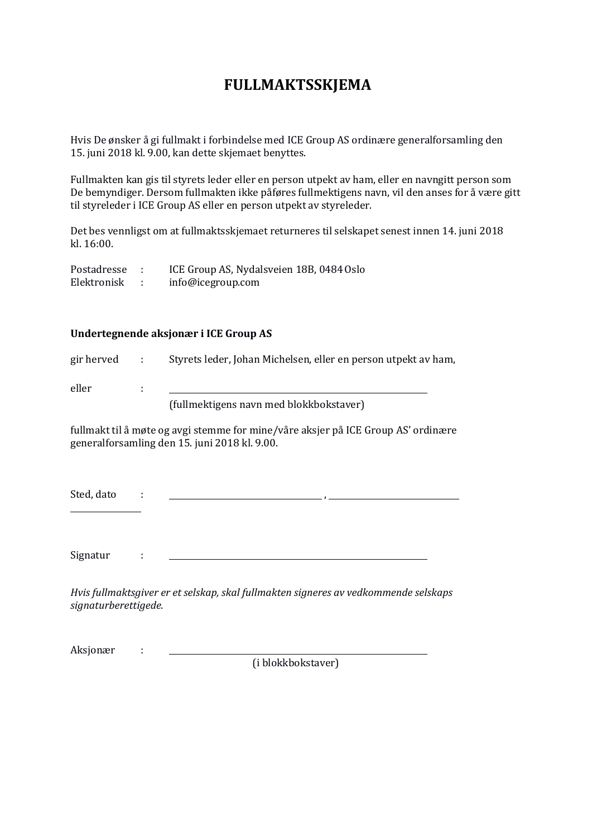# **FULLMAKTSSKJEMA**

Hvis De ønsker å gi fullmakt i forbindelse med ICE Group AS ordinære generalforsamling den 15. juni 2018 kl. 9.00, kan dette skjemaet benyttes.

Fullmakten kan gis til styrets leder eller en person utpekt av ham, eller en navngitt person som De bemyndiger. Dersom fullmakten ikke påføres fullmektigens navn, vil den anses for å være gitt til styreleder i ICE Group AS eller en person utpekt av styreleder.

Det bes vennligst om at fullmaktsskjemaet returneres til selskapet senest innen 14. juni 2018 kl. 16:00.

| Postadresse | ICE Group AS, Nydalsveien 18B, 0484 Oslo |
|-------------|------------------------------------------|
| Elektronisk | info@icegroup.com                        |

## **Undertegnende aksjonær i ICE Group AS**

| gir herved | <b>Contractor</b> | Styrets leder, Johan Michelsen, eller en person utpekt av ham, |
|------------|-------------------|----------------------------------------------------------------|
| eller      |                   |                                                                |
|            |                   | (fullmektigens navn med blokkbokstaver)                        |

fullmakt til å møte og avgi stemme for mine/våre aksjer på ICE Group AS' ordinære generalforsamling den 15. juni 2018 kl. 9.00.

Sted, dato : ,

Signatur :

*Hvis fullmaktsgiver er et selskap, skal fullmakten signeres av vedkommende selskaps signaturberettigede.*

Aksjonær :

(i blokkbokstaver)